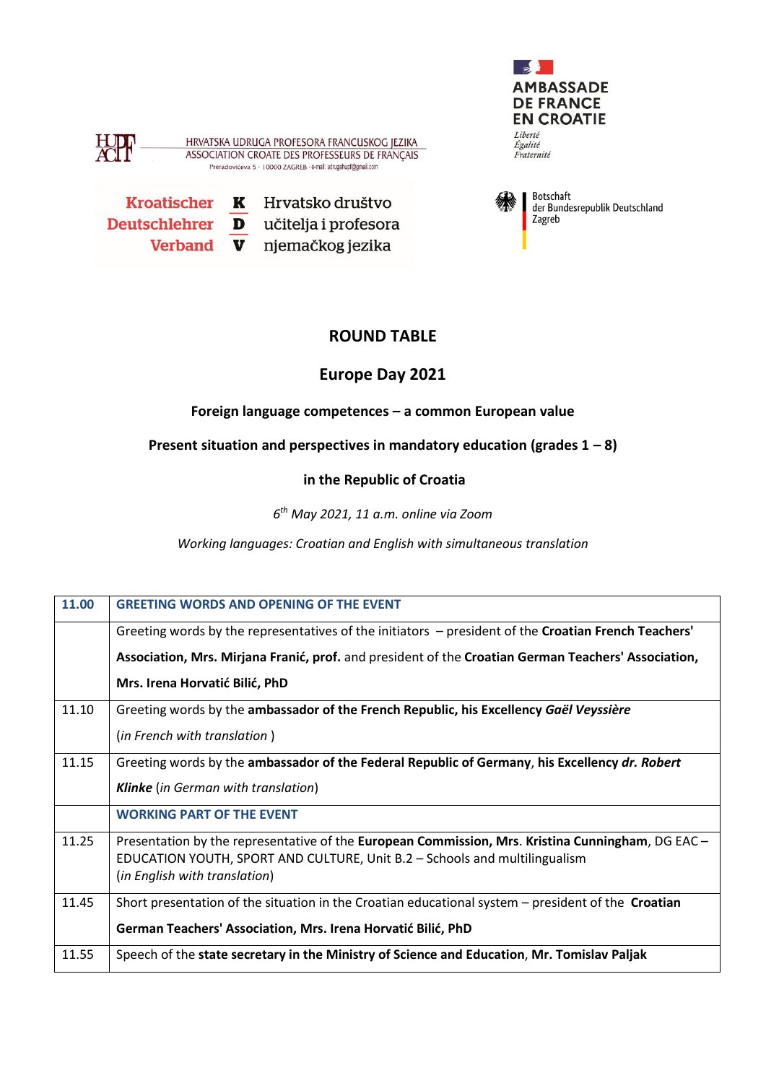

HRVATSKA UDRUGA PROFESORA FRANCUSKOG JEZIKA ASSOCIATION CROATE DES PROFESSEURS DE FRANÇAIS Preradovićeva 5 · 10000 ZAGREB · e-mail: udrugahupf@gmail.com

**Deutschlehrer Verband** 

Kroatischer K Hrvatsko društvo

D učitelja i profesora

 $\overline{\mathbf{v}}$ njemačkog jezika





# **ROUND TABLE**

## **Europe Day 2021**

## **Foreign language competences – a common European value**

#### **Present situation and perspectives in mandatory education (grades 1 – 8)**

## **in the Republic of Croatia**

#### *6 th May 2021, 11 a.m. online via Zoom*

#### *Working languages: Croatian and English with simultaneous translation*

| 11.00 | <b>GREETING WORDS AND OPENING OF THE EVENT</b>                                                                                                                                                                   |
|-------|------------------------------------------------------------------------------------------------------------------------------------------------------------------------------------------------------------------|
|       | Greeting words by the representatives of the initiators - president of the Croatian French Teachers'                                                                                                             |
|       | Association, Mrs. Mirjana Franić, prof. and president of the Croatian German Teachers' Association,                                                                                                              |
|       | Mrs. Irena Horvatić Bilić, PhD                                                                                                                                                                                   |
| 11.10 | Greeting words by the ambassador of the French Republic, his Excellency Gaël Veyssière                                                                                                                           |
|       | (in French with translation)                                                                                                                                                                                     |
| 11.15 | Greeting words by the ambassador of the Federal Republic of Germany, his Excellency dr. Robert                                                                                                                   |
|       | <b>Klinke</b> (in German with translation)                                                                                                                                                                       |
|       | <b>WORKING PART OF THE EVENT</b>                                                                                                                                                                                 |
| 11.25 | Presentation by the representative of the European Commission, Mrs. Kristina Cunningham, DG EAC -<br>EDUCATION YOUTH, SPORT AND CULTURE, Unit B.2 - Schools and multilingualism<br>(in English with translation) |
| 11.45 | Short presentation of the situation in the Croatian educational system – president of the Croatian                                                                                                               |
|       | German Teachers' Association, Mrs. Irena Horvatić Bilić, PhD                                                                                                                                                     |
| 11.55 | Speech of the state secretary in the Ministry of Science and Education, Mr. Tomislav Paljak                                                                                                                      |